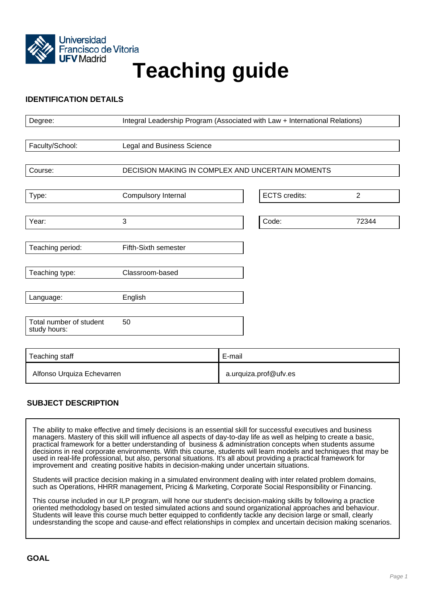

# **Teaching guide**

### **IDENTIFICATION DETAILS**

| Degree:                                 | Integral Leadership Program (Associated with Law + International Relations) |        |                      |                |
|-----------------------------------------|-----------------------------------------------------------------------------|--------|----------------------|----------------|
|                                         |                                                                             |        |                      |                |
| Faculty/School:                         | Legal and Business Science                                                  |        |                      |                |
|                                         |                                                                             |        |                      |                |
| Course:                                 | DECISION MAKING IN COMPLEX AND UNCERTAIN MOMENTS                            |        |                      |                |
|                                         |                                                                             |        |                      |                |
| Type:                                   | Compulsory Internal                                                         |        | <b>ECTS</b> credits: | $\overline{2}$ |
|                                         |                                                                             |        |                      |                |
| Year:                                   | $\mathbf{3}$                                                                |        | Code:                | 72344          |
|                                         |                                                                             |        |                      |                |
| Teaching period:                        | Fifth-Sixth semester                                                        |        |                      |                |
|                                         |                                                                             |        |                      |                |
| Teaching type:                          | Classroom-based                                                             |        |                      |                |
|                                         |                                                                             |        |                      |                |
| Language:                               | English                                                                     |        |                      |                |
|                                         |                                                                             |        |                      |                |
| Total number of student<br>study hours: | 50                                                                          |        |                      |                |
|                                         |                                                                             |        |                      |                |
|                                         |                                                                             |        |                      |                |
| Teaching staff                          |                                                                             | E-mail |                      |                |

## **SUBJECT DESCRIPTION**

The ability to make effective and timely decisions is an essential skill for successful executives and business managers. Mastery of this skill will influence all aspects of day-to-day life as well as helping to create a basic, practical framework for a better understanding of business & administration concepts when students assume decisions in real corporate environments. With this course, students will learn models and techniques that may be used in real-life professional, but also, personal situations. It's all about providing a practical framework for improvement and creating positive habits in decision-making under uncertain situations.

Alfonso Urquiza Echevarren a.urquiza.prof@ufv.es

Students will practice decision making in a simulated environment dealing with inter related problem domains, such as Operations, HHRR management, Pricing & Marketing, Corporate Social Responsibility or Financing.

This course included in our ILP program, will hone our student's decision-making skills by following a practice oriented methodology based on tested simulated actions and sound organizational approaches and behaviour. Students will leave this course much better equipped to confidently tackle any decision large or small, clearly undesrstanding the scope and cause-and effect relationships in complex and uncertain decision making scenarios.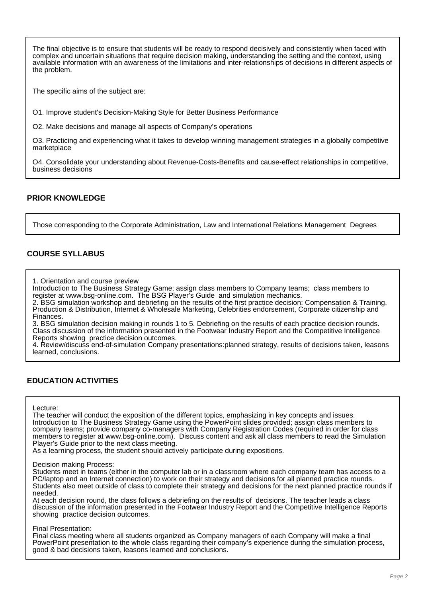The final objective is to ensure that students will be ready to respond decisively and consistently when faced with complex and uncertain situations that require decision making, understanding the setting and the context, using available information with an awareness of the limitations and inter-relationships of decisions in different aspects of the problem.

The specific aims of the subject are:

O1. Improve student's Decision-Making Style for Better Business Performance

O2. Make decisions and manage all aspects of Company's operations

O3. Practicing and experiencing what it takes to develop winning management strategies in a globally competitive marketplace

O4. Consolidate your understanding about Revenue-Costs-Benefits and cause-effect relationships in competitive, business decisions

#### **PRIOR KNOWLEDGE**

Those corresponding to the Corporate Administration, Law and International Relations Management Degrees

#### **COURSE SYLLABUS**

1. Orientation and course preview

Introduction to The Business Strategy Game; assign class members to Company teams; class members to register at www.bsg-online.com. The BSG Player's Guide and simulation mechanics.

2. BSG simulation workshop and debriefing on the results of the first practice decision: Compensation & Training, Production & Distribution, Internet & Wholesale Marketing, Celebrities endorsement, Corporate citizenship and Finances.

3. BSG simulation decision making in rounds 1 to 5. Debriefing on the results of each practice decision rounds. Class discussion of the information presented in the Footwear Industry Report and the Competitive Intelligence Reports showing practice decision outcomes.

4. Review/discuss end-of-simulation Company presentations:planned strategy, results of decisions taken, leasons learned, conclusions.

#### **EDUCATION ACTIVITIES**

#### Lecture:

The teacher will conduct the exposition of the different topics, emphasizing in key concepts and issues. Introduction to The Business Strategy Game using the PowerPoint slides provided; assign class members to company teams; provide company co-managers with Company Registration Codes (required in order for class members to register at www.bsg-online.com). Discuss content and ask all class members to read the Simulation Player's Guide prior to the next class meeting.

As a learning process, the student should actively participate during expositions.

#### Decision making Process:

Students meet in teams (either in the computer lab or in a classroom where each company team has access to a PC/laptop and an Internet connection) to work on their strategy and decisions for all planned practice rounds. Students also meet outside of class to complete their strategy and decisions for the next planned practice rounds if needed.

At each decision round, the class follows a debriefing on the results of decisions. The teacher leads a class discussion of the information presented in the Footwear Industry Report and the Competitive Intelligence Reports showing practice decision outcomes.

Final Presentation:

Final class meeting where all students organized as Company managers of each Company will make a final PowerPoint presentation to the whole class regarding their company's experience during the simulation process, good & bad decisions taken, leasons learned and conclusions.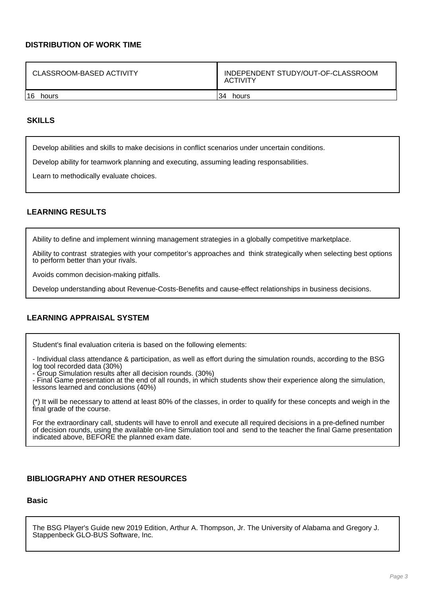#### **DISTRIBUTION OF WORK TIME**

| CLASSROOM-BASED ACTIVITY | INDEPENDENT STUDY/OUT-OF-CLASSROOM<br><b>ACTIVITY</b> |
|--------------------------|-------------------------------------------------------|
| 16<br>hours              | 34<br>hours                                           |
|                          |                                                       |

#### **SKILLS**

Develop abilities and skills to make decisions in conflict scenarios under uncertain conditions.

Develop ability for teamwork planning and executing, assuming leading responsabilities.

Learn to methodically evaluate choices.

#### **LEARNING RESULTS**

Ability to define and implement winning management strategies in a globally competitive marketplace.

Ability to contrast strategies with your competitor's approaches and think strategically when selecting best options to perform better than your rivals.

Avoids common decision-making pitfalls.

Develop understanding about Revenue-Costs-Benefits and cause-effect relationships in business decisions.

#### **LEARNING APPRAISAL SYSTEM**

Student's final evaluation criteria is based on the following elements:

- Individual class attendance & participation, as well as effort during the simulation rounds, according to the BSG log tool recorded data (30%)

- Group Simulation results after all decision rounds. (30%)

- Final Game presentation at the end of all rounds, in which students show their experience along the simulation, lessons learned and conclusions (40%)

(\*) It will be necessary to attend at least 80% of the classes, in order to qualify for these concepts and weigh in the final grade of the course.

For the extraordinary call, students will have to enroll and execute all required decisions in a pre-defined number of decision rounds, using the available on-line Simulation tool and send to the teacher the final Game presentation indicated above, BEFORE the planned exam date.

#### **BIBLIOGRAPHY AND OTHER RESOURCES**

#### **Basic**

The BSG Player's Guide new 2019 Edition, Arthur A. Thompson, Jr. The University of Alabama and Gregory J. Stappenbeck GLO-BUS Software, Inc.